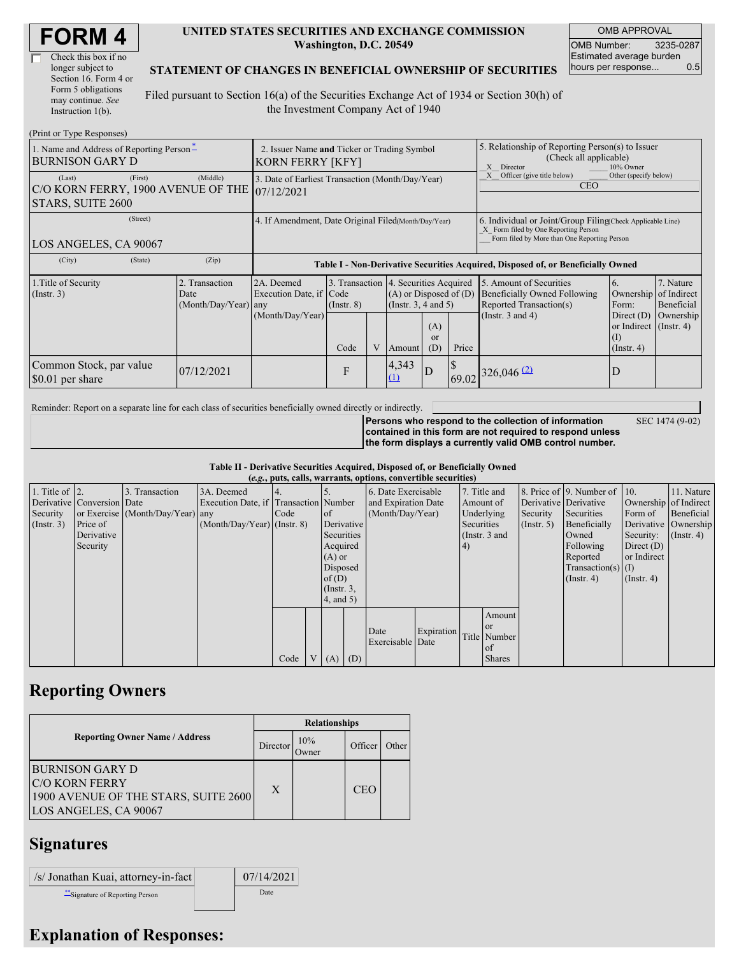| <b>FORM4</b> |  |
|--------------|--|
|--------------|--|

| Check this box if no  |
|-----------------------|
| longer subject to     |
| Section 16. Form 4 or |
| Form 5 obligations    |
| may continue. See     |
| Instruction 1(b).     |

#### **UNITED STATES SECURITIES AND EXCHANGE COMMISSION Washington, D.C. 20549**

OMB APPROVAL OMB Number: 3235-0287 Estimated average burden hours per response... 0.5

SEC 1474 (9-02)

### **STATEMENT OF CHANGES IN BENEFICIAL OWNERSHIP OF SECURITIES**

Filed pursuant to Section 16(a) of the Securities Exchange Act of 1934 or Section 30(h) of the Investment Company Act of 1940

| (Print or Type Responses)                                                               |                                                                        |                                                           |                         |   |                                                                                                                                                   |                                                                                                                                                    |                                                                                                          |                                                                                                             |                                                                                                           |                                                     |  |
|-----------------------------------------------------------------------------------------|------------------------------------------------------------------------|-----------------------------------------------------------|-------------------------|---|---------------------------------------------------------------------------------------------------------------------------------------------------|----------------------------------------------------------------------------------------------------------------------------------------------------|----------------------------------------------------------------------------------------------------------|-------------------------------------------------------------------------------------------------------------|-----------------------------------------------------------------------------------------------------------|-----------------------------------------------------|--|
| 1. Name and Address of Reporting Person-<br><b>BURNISON GARY D</b>                      | 2. Issuer Name and Ticker or Trading Symbol<br><b>KORN FERRY [KFY]</b> |                                                           |                         |   |                                                                                                                                                   |                                                                                                                                                    | 5. Relationship of Reporting Person(s) to Issuer<br>(Check all applicable)<br>10% Owner<br>X<br>Director |                                                                                                             |                                                                                                           |                                                     |  |
| (First)<br>(Last)<br>C/O KORN FERRY, 1900 AVENUE OF THE 07/12/2021<br>STARS, SUITE 2600 | (Middle)                                                               | 3. Date of Earliest Transaction (Month/Day/Year)          |                         |   |                                                                                                                                                   |                                                                                                                                                    |                                                                                                          | Officer (give title below)<br>Other (specify below)<br><b>CEO</b>                                           |                                                                                                           |                                                     |  |
| (Street)<br>LOS ANGELES, CA 90067                                                       | 4. If Amendment, Date Original Filed(Month/Day/Year)                   |                                                           |                         |   |                                                                                                                                                   | 6. Individual or Joint/Group Filing Check Applicable Line)<br>X Form filed by One Reporting Person<br>Form filed by More than One Reporting Person |                                                                                                          |                                                                                                             |                                                                                                           |                                                     |  |
| (City)<br>(State)                                                                       | (Zip)                                                                  |                                                           |                         |   |                                                                                                                                                   |                                                                                                                                                    |                                                                                                          | Table I - Non-Derivative Securities Acquired, Disposed of, or Beneficially Owned                            |                                                                                                           |                                                     |  |
| 1. Title of Security<br>(Insert. 3)                                                     | 2. Transaction<br>Date<br>(Month/Day/Year) any                         | 2A. Deemed<br>Execution Date, if Code<br>(Month/Day/Year) | $($ Instr. $8)$<br>Code | V | 3. Transaction 4. Securities Acquired<br>$(A)$ or Disposed of $(D)$<br>(Instr. $3, 4$ and $5$ )<br>(A)<br><sub>or</sub><br>Price<br>(D)<br>Amount |                                                                                                                                                    |                                                                                                          | 5. Amount of Securities<br>Beneficially Owned Following<br>Reported Transaction(s)<br>(Instr. $3$ and $4$ ) | 6.<br>Ownership<br>Form:<br>Direct $(D)$<br>or Indirect $($ Instr. 4 $)$<br>$\rm (1)$<br>$($ Instr. 4 $)$ | 7. Nature<br>of Indirect<br>Beneficial<br>Ownership |  |
| Common Stock, par value<br>\$0.01 per share                                             | 07/12/2021                                                             |                                                           | $\mathbf{F}$            |   | 4,343<br>(1)                                                                                                                                      | $\overline{D}$                                                                                                                                     |                                                                                                          | 69.02 326,046 (2)                                                                                           | D                                                                                                         |                                                     |  |

Reminder: Report on a separate line for each class of securities beneficially owned directly or indirectly.

**Persons who respond to the collection of information contained in this form are not required to respond unless the form displays a currently valid OMB control number.**

**Table II - Derivative Securities Acquired, Disposed of, or Beneficially Owned**

|                        | (e.g., puts, calls, warrants, options, convertible securities) |                                  |                                       |      |  |                 |     |                     |            |            |               |             |                              |                       |                      |
|------------------------|----------------------------------------------------------------|----------------------------------|---------------------------------------|------|--|-----------------|-----|---------------------|------------|------------|---------------|-------------|------------------------------|-----------------------|----------------------|
| 1. Title of $\vert$ 2. |                                                                | 3. Transaction                   | 3A. Deemed                            |      |  |                 |     | 6. Date Exercisable |            |            | 7. Title and  |             | 8. Price of 9. Number of 10. |                       | 11. Nature           |
|                        | Derivative Conversion Date                                     |                                  | Execution Date, if Transaction Number |      |  |                 |     | and Expiration Date |            |            | Amount of     |             | Derivative Derivative        | Ownership of Indirect |                      |
| Security               |                                                                | or Exercise (Month/Day/Year) any |                                       | Code |  | <sub>of</sub>   |     | (Month/Day/Year)    |            | Underlying |               | Security    | Securities                   | Form of               | Beneficial           |
| $($ Instr. 3 $)$       | Price of                                                       |                                  | $(Month/Day/Year)$ (Instr. 8)         |      |  | Derivative      |     |                     |            | Securities |               | (Insert, 5) | Beneficially                 |                       | Derivative Ownership |
|                        | Derivative                                                     |                                  |                                       |      |  | Securities      |     |                     |            |            | (Instr. 3 and |             | Owned                        | Security:             | $($ Instr. 4)        |
|                        | Security                                                       |                                  |                                       |      |  | Acquired        |     |                     |            | (4)        |               |             | Following                    | Direct $(D)$          |                      |
|                        |                                                                |                                  |                                       |      |  | $(A)$ or        |     |                     |            |            |               |             | Reported                     | or Indirect           |                      |
|                        |                                                                |                                  |                                       |      |  | Disposed        |     |                     |            |            |               |             | $Transaction(s)$ (I)         |                       |                      |
|                        |                                                                |                                  |                                       |      |  | of $(D)$        |     |                     |            |            |               |             | $($ Instr. 4 $)$             | $($ Instr. 4 $)$      |                      |
|                        |                                                                |                                  |                                       |      |  | $($ Instr. $3,$ |     |                     |            |            |               |             |                              |                       |                      |
|                        |                                                                |                                  |                                       |      |  | $4$ , and $5$ ) |     |                     |            |            |               |             |                              |                       |                      |
|                        |                                                                |                                  |                                       |      |  |                 |     |                     |            |            | Amount        |             |                              |                       |                      |
|                        |                                                                |                                  |                                       |      |  |                 |     |                     |            |            | <b>or</b>     |             |                              |                       |                      |
|                        |                                                                |                                  |                                       |      |  |                 |     | Date                | Expiration |            | Title Number  |             |                              |                       |                      |
|                        |                                                                |                                  |                                       |      |  |                 |     | Exercisable Date    |            |            | of            |             |                              |                       |                      |
|                        |                                                                |                                  |                                       | Code |  | V(A)            | (D) |                     |            |            | <b>Shares</b> |             |                              |                       |                      |

## **Reporting Owners**

|                                                                                                                  | <b>Relationships</b> |              |            |       |  |  |  |
|------------------------------------------------------------------------------------------------------------------|----------------------|--------------|------------|-------|--|--|--|
| <b>Reporting Owner Name / Address</b><br>Director                                                                |                      | 10%<br>Jwner | Officer    | Other |  |  |  |
| <b>BURNISON GARY D</b><br><b>C/O KORN FERRY</b><br>1900 AVENUE OF THE STARS, SUITE 2600<br>LOS ANGELES, CA 90067 | X                    |              | <b>CEO</b> |       |  |  |  |

## **Signatures**

| /s/ Jonathan Kuai, attorney-in-fact | 07/14/2021 |
|-------------------------------------|------------|
| Signature of Reporting Person       | Date       |

# **Explanation of Responses:**